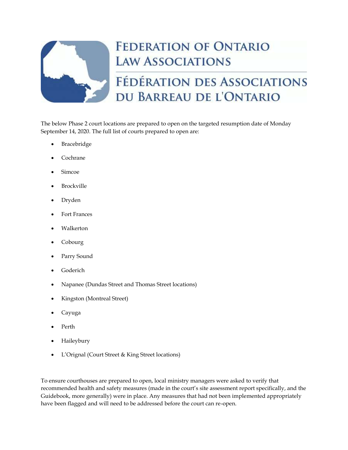

## **FEDERATION OF ONTARIO LAW ASSOCIATIONS**

## FÉDÉRATION DES ASSOCIATIONS DU BARREAU DE L'ONTARIO

The below Phase 2 court locations are prepared to open on the targeted resumption date of Monday September 14, 2020. The full list of courts prepared to open are:

- **Bracebridge**
- Cochrane
- Simcoe
- **Brockville**
- Dryden
- Fort Frances
- Walkerton
- Cobourg
- Parry Sound
- Goderich
- Napanee (Dundas Street and Thomas Street locations)
- Kingston (Montreal Street)
- Cayuga
- Perth
- Haileybury
- L'Orignal (Court Street & King Street locations)

To ensure courthouses are prepared to open, local ministry managers were asked to verify that recommended health and safety measures (made in the court's site assessment report specifically, and the Guidebook, more generally) were in place. Any measures that had not been implemented appropriately have been flagged and will need to be addressed before the court can re-open.